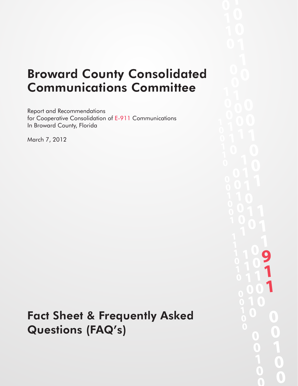# Broward County Consolidated Communications Committee

Report and Recommendations for Cooperative Consolidation of E-911 Communications In Broward County, Florida

March 7, 2012

# Fact Sheet & Frequently Asked Questions (FAQ's)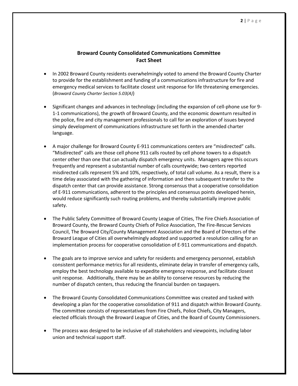## **Broward County Consolidated Communications Committee Fact Sheet**

- In 2002 Broward County residents overwhelmingly voted to amend the Broward County Charter to provide for the establishment and funding of a communications infrastructure for fire and emergency medical services to facilitate closest unit response for life threatening emergencies. (*Broward County Charter Section 5.03(A)*)
- Significant changes and advances in technology (including the expansion of cell-phone use for 9- 1-1 communications), the growth of Broward County, and the economic downturn resulted in the police, fire and city management professionals to call for an exploration of issues beyond simply development of communications infrastructure set forth in the amended charter language.
- A major challenge for Broward County E-911 communications centers are "misdirected" calls. misdirected calls represent 5% and 10%, respectively, of total call volume. As a result, there is a time delay associated with the gathering of information and then subsequent transfer to the safety. "Misdirected" calls are those cell phone 911 calls routed by cell phone towers to a dispatch center other than one that can actually dispatch emergency units. Managers agree this occurs frequently and represent a substantial number of calls countywide; two centers reported dispatch center that can provide assistance. Strong consensus that a cooperative consolidation of E-911 communications, adherent to the principles and consensus points developed herein, would reduce significantly such routing problems, and thereby substantially improve public
- implementation process for cooperative consolidation of E-911 communications and dispatch. The Public Safety Committee of Broward County League of Cities, The Fire Chiefs Association of Broward County, the Broward County Chiefs of Police Association, The Fire-Rescue Services Council, The Broward City/County Management Association and the Board of Directors of the Broward League of Cities all overwhelmingly adopted and supported a resolution calling for an
- unit response. Additionally, there may be an ability to conserve resources by reducing the The goals are to improve service and safety for residents and emergency personnel, establish consistent performance metrics for all residents, eliminate delay in transfer of emergency calls, employ the best technology available to expedite emergency response, and facilitate closest number of dispatch centers, thus reducing the financial burden on taxpayers.
- The Broward County Consolidated Communications Committee was created and tasked with developing a plan for the cooperative consolidation of 911 and dispatch within Broward County. The committee consists of representatives from Fire Chiefs, Police Chiefs, City Managers, elected officials through the Broward League of Cities, and the Board of County Commissioners.
- The process was designed to be inclusive of all stakeholders and viewpoints, including labor union and technical support staff.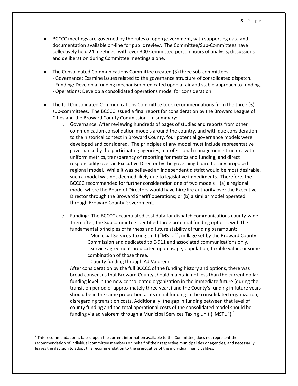- BCCCC meetings are governed by the rules of open government, with supporting data and documentation available on-line for public review. The Committee/Sub-Committees have collectively held 24 meetings, with over 300 Committee-person hours of analysis, discussions and deliberation during Committee meetings alone.
- The Consolidated Communications Committee created (3) three sub-committees:
	- Governance: Examine issues related to the governance structure of consolidated dispatch.
	- Funding: Develop a funding mechanism predicated upon a fair and stable approach to funding.
	- Operations: Develop a consolidated operations model for consideration.
- The full Consolidated Communications Committee took recommendations from the three (3) sub-committees. The BCCCC issued a final report for consideration by the Broward League of Cities and the Broward County Commission. In summary:
	- developed and considered. The principles of any model must include representative BCCCC recommended for further consideration one of two models – (a) a regional  $\circ$  Governance: After reviewing hundreds of pages of studies and reports from other communication consolidation models around the country, and with due consideration to the historical context in Broward County, four potential governance models were governance by the participating agencies, a professional management structure with uniform metrics, transparency of reporting for metrics and funding, and direct responsibility over an Executive Director by the governing board for any proposed regional model. While it was believed an independent district would be most desirable, such a model was not deemed likely due to legislative impediments. Therefore, the model where the Board of Directors would have hire/fire authority over the Executive Director through the Broward Sheriff operations; or (b) a similar model operated through Broward County Government.
	- $\circ$  Funding: The BCCCC accumulated cost data for dispatch communications county-wide. Thereafter, the Subcommittee identified three potential funding options, with the fundamental principles of fairness and future stability of funding paramount:
		- - Municipal Services Taxing Unit ("MSTU"), millage set by the Broward County Commission and dedicated to E-911 and associated communications only. - Service agreement predicated upon usage, population, taxable value, or some combination of those three.
		- County funding through Ad Valorem

l

 disregarding transition costs. Additionally, the gap in funding between that level of funding via ad valorem through a Municipal Services Taxing Unit ("MSTU").<sup>1</sup> After consideration by the full BCCCC of the funding history and options, there was broad consensus that Broward County should maintain not less than the current dollar funding level in the new consolidated organization in the immediate future (during the transition period of approximately three years) and the County's funding in future years should be in the same proportion as its initial funding in the consolidated organization, county funding and the total operational costs of the consolidated model should be

 $1$  This recommendation is based upon the current information available to the Committee, does not represent the recommendation of individual committee members on behalf of their respective municipalities or agencies, and necessarily leaves the decision to adopt this recommendation to the prerogative of the individual municipalities.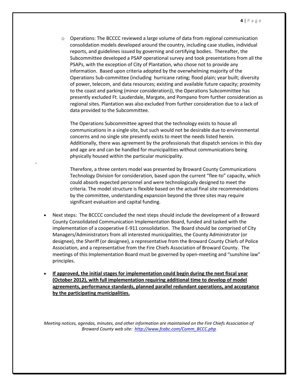PSAPs, with the exception of City of Plantation, who chose not to provide any information. Based upon criteria adopted by the overwhelming majority of the Operations Sub-committee (including hurricane rating; flood plain; year built; diversity  $\circ$  Operations: The BCCCC reviewed a large volume of data from regional communication consolidation models developed around the country, including case studies, individual reports, and guidelines issued by governing and certifying bodies. Thereafter, the Subcommittee developed a PSAP operational survey and took presentations from all the of power, telecom, and data resources; existing and available future capacity; proximity to the coast and parking (minor consideration)), the Operations Subcommittee has presently excluded Ft. Lauderdale, Margate, and Pompano from further consideration as regional sites. Plantation was also excluded from further consideration due to a lack of data provided to the Subcommittee.

concerns and no single site presently exists to meet the needs listed herein. The Operations Subcommittee agreed that the technology exists to house all communications in a single site, but such would not be desirable due to environmental Additionally, there was agreement by the professionals that dispatch services in this day and age are and can be handled for municipalities without communications being physically housed within the particular municipality.

Therefore, a three centers model was presented by Broward County Communications Technology Division for consideration, based upon the current "flee-to" capacity, which could absorb expected personnel and were technologically designed to meet the criteria. The model structure is flexible based on the actual final site recommendations by the committee, understanding expansion beyond the three sites may require significant evaluation and capital funding.

 Next steps: The BCCCC concluded the next steps should include the development of a Broward meetings of this Implementation Board must be governed by open-meeting and "sunshine law" County Consolidated Communication Implementation Board, funded and tasked with the implementation of a cooperative E-911 consolidation. The Board should be comprised of City Managers/Administrators from all interested municipalities, the County Administrator (or designee), the Sheriff (or designee), a representative from the Broward County Chiefs of Police Association, and a representative from the Fire Chiefs Association of Broward County. The principles.

-

 **If approved, the initial stages for implementation could begin during the next fiscal year (October 2012), with full implementation requiring additional time to develop of model agreements, performance standards, planned parallel redundant operations, and acceptance by the participating municipalities.** 

*Meeting notices, agendas, minutes, and other information are maintained on the Fire Chiefs Association of Broward County web site: [http://www.fcabc.com/Comm\\_BCCC.php](http://www.fcabc.com/Comm_BCCC.php)*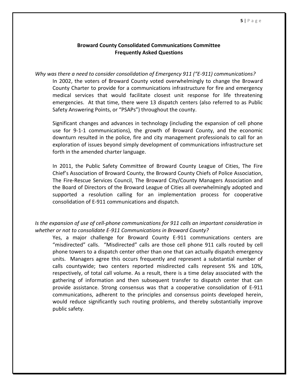## **Frequently Asked Questions Broward County Consolidated Communications Committee**

 *Why was there a need to consider consolidation of Emergency 911 ("E-911) communications?*  In 2002, the voters of Broward County voted overwhelmingly to change the Broward County Charter to provide for a communications infrastructure for fire and emergency medical services that would facilitate closest unit response for life threatening emergencies. At that time, there were 13 dispatch centers (also referred to as Public Safety Answering Points, or "PSAPs") throughout the county.

 Significant changes and advances in technology (including the expansion of cell phone use for 9-1-1 communications), the growth of Broward County, and the economic downturn resulted in the police, fire and city management professionals to call for an exploration of issues beyond simply development of communications infrastructure set forth in the amended charter language.

 In 2011, the Public Safety Committee of Broward County League of Cities, The Fire Chief's Association of Broward County, the Broward County Chiefs of Police Association, The Fire-Rescue Services Council, The Broward City/County Managers Association and the Board of Directors of the Broward League of Cities all overwhelmingly adopted and consolidation of E-911 communications and dispatch. supported a resolution calling for an implementation process for cooperative

# *Is the expansion of use of cell-phone communications for 911 calls an important consideration in whether or not to consolidate E-911 Communications in Broward County?*

 Yes, a major challenge for Broward County E-911 communications centers are "misdirected" calls. "Misdirected" calls are those cell phone 911 calls routed by cell phone towers to a dispatch center other than one that can actually dispatch emergency units. Managers agree this occurs frequently and represent a substantial number of calls countywide; two centers reported misdirected calls represent 5% and 10%, respectively, of total call volume. As a result, there is a time delay associated with the gathering of information and then subsequent transfer to dispatch center that can provide assistance. Strong consensus was that a cooperative consolidation of E-911 communications, adherent to the principles and consensus points developed herein, would reduce significantly such routing problems, and thereby substantially improve public safety.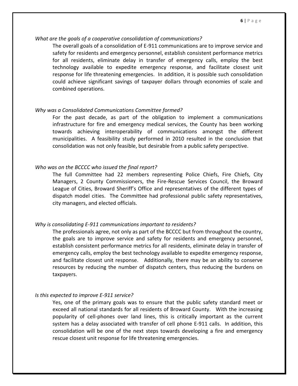## *What are the goals of a cooperative consolidation of communications?*

 The overall goals of a consolidation of E-911 communications are to improve service and safety for residents and emergency personnel, establish consistent performance metrics for all residents, eliminate delay in transfer of emergency calls, employ the best technology available to expedite emergency response, and facilitate closest unit response for life threatening emergencies. In addition, it is possible such consolidation could achieve significant savings of taxpayer dollars through economies of scale and combined operations.

## *Why was a Consolidated Communications Committee formed?*

 For the past decade, as part of the obligation to implement a communications infrastructure for fire and emergency medical services, the County has been working municipalities. A feasibility study performed in 2010 resulted in the conclusion that consolidation was not only feasible, but desirable from a public safety perspective. towards achieving interoperability of communications amongst the different

## *Who was on the BCCCC who issued the final report?*

 The full Committee had 22 members representing Police Chiefs, Fire Chiefs, City Managers, 2 County Commissioners, the Fire-Rescue Services Council, the Broward League of Cities, Broward Sheriff's Office and representatives of the different types of dispatch model cities. The Committee had professional public safety representatives, city managers, and elected officials.

## *Why is consolidating E-911 communications important to residents?*

 The professionals agree, not only as part of the BCCCC but from throughout the country, the goals are to improve service and safety for residents and emergency personnel, establish consistent performance metrics for all residents, eliminate delay in transfer of emergency calls, employ the best technology available to expedite emergency response, and facilitate closest unit response. Additionally, there may be an ability to conserve resources by reducing the number of dispatch centers, thus reducing the burdens on taxpayers.

## *Is this expected to improve E-911 service?*

 Yes, one of the primary goals was to ensure that the public safety standard meet or exceed all national standards for all residents of Broward County. With the increasing popularity of cell-phones over land lines, this is critically important as the current system has a delay associated with transfer of cell phone E-911 calls. In addition, this consolidation will be one of the next steps towards developing a fire and emergency rescue closest unit response for life threatening emergencies.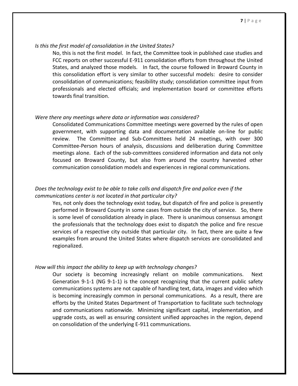## *Is this the first model of consolidation in the United States?*

 No, this is not the first model. In fact, the Committee took in published case studies and FCC reports on other successful E-911 consolidation efforts from throughout the United States, and analyzed those models. In fact, the course followed in Broward County in this consolidation effort is very similar to other successful models: desire to consider consolidation of communications; feasibility study; consolidation committee input from professionals and elected officials; and implementation board or committee efforts towards final transition.

## *Were there any meetings where data or information was considered?*

 Consolidated Communications Committee meetings were governed by the rules of open review. The Committee and Sub-Committees held 24 meetings, with over 300 Committee-Person hours of analysis, discussions and deliberation during Committee meetings alone. Each of the sub-committees considered information and data not only focused on Broward County, but also from around the country harvested other communication consolidation models and experiences in regional communications. government, with supporting data and documentation available on-line for public

# *Does the technology exist to be able to take calls and dispatch fire and police even if the communications center is not located in that particular city?*

 Yes, not only does the technology exist today, but dispatch of fire and police is presently performed in Broward County in some cases from outside the city of service. So, there is some level of consolidation already in place. There is unanimous consensus amongst the professionals that the technology does exist to dispatch the police and fire rescue services of a respective city outside that particular city. In fact, there are quite a few examples from around the United States where dispatch services are consolidated and regionalized.

## *How will this impact the ability to keep up with technology changes?*

 Our society is becoming increasingly reliant on mobile communications. Next Generation 9-1-1 (NG 9-1-1) is the concept recognizing that the current public safety communications systems are not capable of handling text, data, images and video which is becoming increasingly common in personal communications. As a result, there are efforts by the United States Department of Transportation to facilitate such technology upgrade costs, as well as ensuring consistent unified approaches in the region, depend on consolidation of the underlying E-911 communications. and communications nationwide. Minimizing significant capital, implementation, and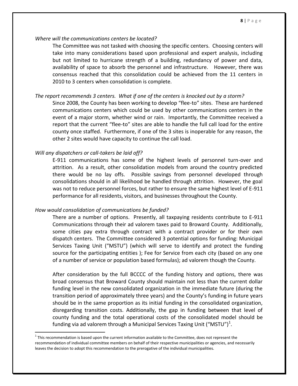## *Where will the communications centers be located?*

 The Committee was not tasked with choosing the specific centers. Choosing centers will take into many considerations based upon professional and expert analysis, including but not limited to hurricane strength of a building, redundancy of power and data, availability of space to absorb the personnel and infrastructure. However, there was consensus reached that this consolidation could be achieved from the 11 centers in 2010 to 3 centers when consolidation is complete.

## *The report recommends 3 centers. What if one of the centers is knocked out by a storm?*

Since 2008, the County has been working to develop "flee-to" sites. These are hardened communications centers which could be used by other communications centers in the event of a major storm, whether wind or rain. Importantly, the Committee received a report that the current "flee-to" sites are able to handle the full call load for the entire county once staffed. Furthermore, if one of the 3 sites is inoperable for any reason, the other 2 sites would have capacity to continue the call load.

## *Will any dispatchers or call-takers be laid off?*

l

 E-911 communications has some of the highest levels of personnel turn-over and attrition. As a result, other consolidation models from around the country predicted there would be no lay offs. Possible savings from personnel developed through consolidations should in all likelihood be handled through attrition. However, the goal was not to reduce personnel forces, but rather to ensure the same highest level of E-911 performance for all residents, visitors, and businesses throughout the County.

## *How would consolidation of communications be funded?*

 There are a number of options. Presently, all taxpaying residents contribute to E-911 Communications through their ad valorem taxes paid to Broward County. Additionally, some cities pay extra through contract with a contract provider or for their own dispatch centers. The Committee considered 3 potential options for funding: Municipal Services Taxing Unit ("MSTU") (which will serve to identify and protect the funding source for the participating entities ); Fee for Service from each city (based on any one of a number of service or population based formulas); ad valorem though the County.

 After consideration by the full BCCCC of the funding history and options, there was broad consensus that Broward County should maintain not less than the current dollar funding level in the new consolidated organization in the immediate future (during the transition period of approximately three years) and the County's funding in future years should be in the same proportion as its initial funding in the consolidated organization, disregarding transition costs. Additionally, the gap in funding between that level of county funding and the total operational costs of the consolidated model should be funding via ad valorem through a Municipal Services Taxing Unit ("MSTU")<sup>1</sup>.

 $1$  This recommendation is based upon the current information available to the Committee, does not represent the recommendation of individual committee members on behalf of their respective municipalities or agencies, and necessarily leaves the decision to adopt this recommendation to the prerogative of the individual municipalities.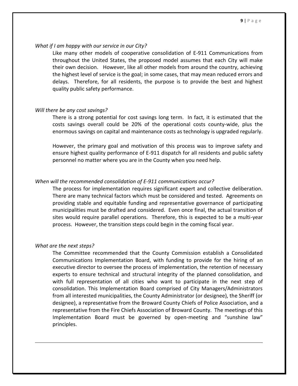## *What if I am happy with our service in our City?*

 Like many other models of cooperative consolidation of E-911 Communications from throughout the United States, the proposed model assumes that each City will make their own decision. However, like all other models from around the country, achieving the highest level of service is the goal; in some cases, that may mean reduced errors and delays. Therefore, for all residents, the purpose is to provide the best and highest quality public safety performance.

## *Will there be any cost savings?*

 There is a strong potential for cost savings long term. In fact, it is estimated that the costs savings overall could be 20% of the operational costs county-wide, plus the enormous savings on capital and maintenance costs as technology is upgraded regularly.

 However, the primary goal and motivation of this process was to improve safety and ensure highest quality performance of E-911 dispatch for all residents and public safety personnel no matter where you are in the County when you need help.

## *When will the recommended consolidation of E-911 communications occur?*

 The process for implementation requires significant expert and collective deliberation. There are many technical factors which must be considered and tested. Agreements on providing stable and equitable funding and representative governance of participating municipalities must be drafted and considered. Even once final, the actual transition of sites would require parallel operations. Therefore, this is expected to be a multi-year process. However, the transition steps could begin in the coming fiscal year.

## *What are the next steps?*

 $\overline{\phantom{a}}$ 

 The Committee recommended that the County Commission establish a Consolidated Communications Implementation Board, with funding to provide for the hiring of an executive director to oversee the process of implementation, the retention of necessary experts to ensure technical and structural integrity of the planned consolidation, and with full representation of all cities who want to participate in the next step of consolidation. This Implementation Board comprised of City Managers/Administrators from all interested municipalities, the County Administrator (or designee), the Sheriff (or designee), a representative from the Broward County Chiefs of Police Association, and a representative from the Fire Chiefs Association of Broward County. The meetings of this Implementation Board must be governed by open-meeting and "sunshine law" principles.